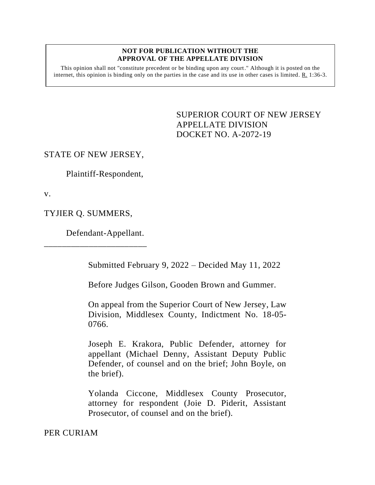#### **NOT FOR PUBLICATION WITHOUT THE APPROVAL OF THE APPELLATE DIVISION**

This opinion shall not "constitute precedent or be binding upon any court." Although it is posted on the internet, this opinion is binding only on the parties in the case and its use in other cases is limited. R. 1:36-3.

> <span id="page-0-0"></span>SUPERIOR COURT OF NEW JERSEY APPELLATE DIVISION DOCKET NO. A-2072-19

### STATE OF NEW JERSEY,

Plaintiff-Respondent,

v.

TYJIER Q. SUMMERS,

Defendant-Appellant.

\_\_\_\_\_\_\_\_\_\_\_\_\_\_\_\_\_\_\_\_\_\_\_

Submitted February 9, 2022 – Decided May 11, 2022

Before Judges Gilson, Gooden Brown and Gummer.

On appeal from the Superior Court of New Jersey, Law Division, Middlesex County, Indictment No. 18-05- 0766.

Joseph E. Krakora, Public Defender, attorney for appellant (Michael Denny, Assistant Deputy Public Defender, of counsel and on the brief; John Boyle, on the brief).

Yolanda Ciccone, Middlesex County Prosecutor, attorney for respondent (Joie D. Piderit, Assistant Prosecutor, of counsel and on the brief).

PER CURIAM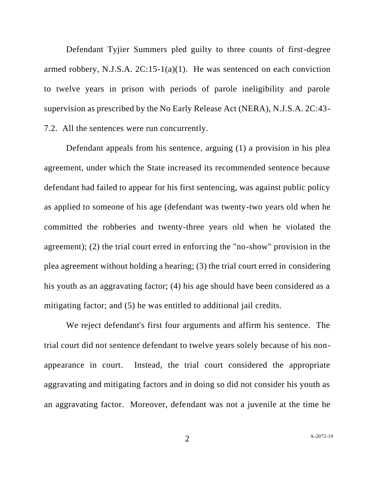Defendant Tyjier Summers pled guilty to three counts of first-degree armed robbery, N.J.S.A. 2C:15-1(a)(1). He was sentenced on each conviction to twelve years in prison with periods of parole ineligibility and parole supervision as prescribed by the No Early Release Act (NERA), N.J.S.A. 2C:43- 7.2. All the sentences were run concurrently.

Defendant appeals from his sentence, arguing (1) a provision in his plea agreement, under which the State increased its recommended sentence because defendant had failed to appear for his first sentencing, was against public policy as applied to someone of his age (defendant was twenty-two years old when he committed the robberies and twenty-three years old when he violated the agreement); (2) the trial court erred in enforcing the "no-show" provision in the plea agreement without holding a hearing; (3) the trial court erred in considering his youth as an aggravating factor; (4) his age should have been considered as a mitigating factor; and (5) he was entitled to additional jail credits.

We reject defendant's first four arguments and affirm his sentence. The trial court did not sentence defendant to twelve years solely because of his nonappearance in court. Instead, the trial court considered the appropriate aggravating and mitigating factors and in doing so did not consider his youth as an aggravating factor. Moreover, defendant was not a juvenile at the time he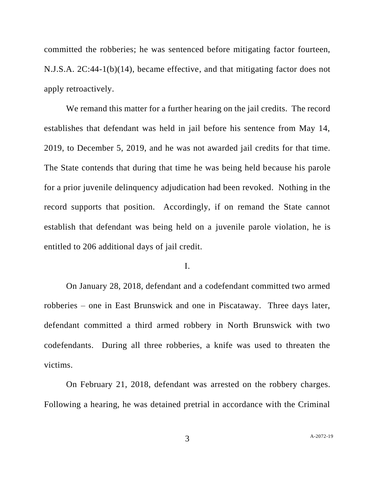committed the robberies; he was sentenced before mitigating factor fourteen, N.J.S.A. 2C:44-1(b)(14), became effective, and that mitigating factor does not apply retroactively.

We remand this matter for a further hearing on the jail credits. The record establishes that defendant was held in jail before his sentence from May 14, 2019, to December 5, 2019, and he was not awarded jail credits for that time. The State contends that during that time he was being held because his parole for a prior juvenile delinquency adjudication had been revoked. Nothing in the record supports that position. Accordingly, if on remand the State cannot establish that defendant was being held on a juvenile parole violation, he is entitled to 206 additional days of jail credit.

### I.

On January 28, 2018, defendant and a codefendant committed two armed robberies – one in East Brunswick and one in Piscataway. Three days later, defendant committed a third armed robbery in North Brunswick with two codefendants. During all three robberies, a knife was used to threaten the victims.

On February 21, 2018, defendant was arrested on the robbery charges. Following a hearing, he was detained pretrial in accordance with the Criminal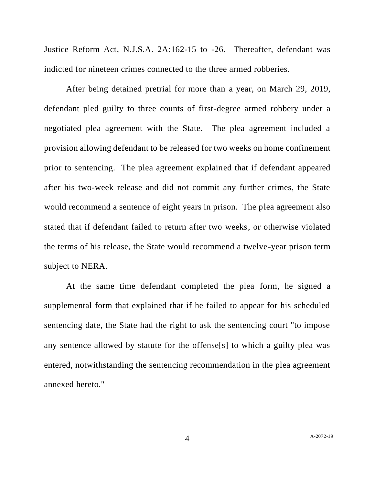Justice Reform Act, N.J.S.A. 2A:162-15 to -26. Thereafter, defendant was indicted for nineteen crimes connected to the three armed robberies.

After being detained pretrial for more than a year, on March 29, 2019, defendant pled guilty to three counts of first-degree armed robbery under a negotiated plea agreement with the State. The plea agreement included a provision allowing defendant to be released for two weeks on home confinement prior to sentencing. The plea agreement explained that if defendant appeared after his two-week release and did not commit any further crimes, the State would recommend a sentence of eight years in prison. The plea agreement also stated that if defendant failed to return after two weeks, or otherwise violated the terms of his release, the State would recommend a twelve-year prison term subject to NERA.

At the same time defendant completed the plea form, he signed a supplemental form that explained that if he failed to appear for his scheduled sentencing date, the State had the right to ask the sentencing court "to impose any sentence allowed by statute for the offense[s] to which a guilty plea was entered, notwithstanding the sentencing recommendation in the plea agreement annexed hereto."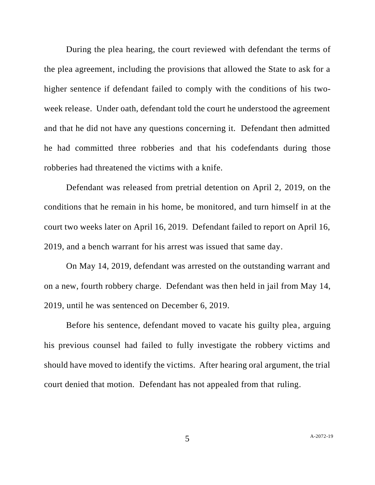During the plea hearing, the court reviewed with defendant the terms of the plea agreement, including the provisions that allowed the State to ask for a higher sentence if defendant failed to comply with the conditions of his twoweek release. Under oath, defendant told the court he understood the agreement and that he did not have any questions concerning it. Defendant then admitted he had committed three robberies and that his codefendants during those robberies had threatened the victims with a knife.

Defendant was released from pretrial detention on April 2, 2019, on the conditions that he remain in his home, be monitored, and turn himself in at the court two weeks later on April 16, 2019. Defendant failed to report on April 16, 2019, and a bench warrant for his arrest was issued that same day.

On May 14, 2019, defendant was arrested on the outstanding warrant and on a new, fourth robbery charge. Defendant was then held in jail from May 14, 2019, until he was sentenced on December 6, 2019.

Before his sentence, defendant moved to vacate his guilty plea, arguing his previous counsel had failed to fully investigate the robbery victims and should have moved to identify the victims. After hearing oral argument, the trial court denied that motion. Defendant has not appealed from that ruling.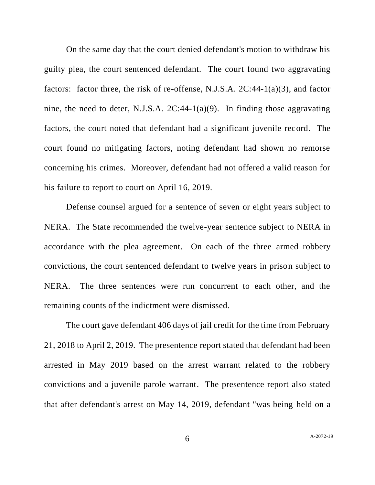On the same day that the court denied defendant's motion to withdraw his guilty plea, the court sentenced defendant. The court found two aggravating factors: factor three, the risk of re-offense, N.J.S.A. 2C:44-1(a)(3), and factor nine, the need to deter, N.J.S.A. 2C:44-1(a)(9). In finding those aggravating factors, the court noted that defendant had a significant juvenile record. The court found no mitigating factors, noting defendant had shown no remorse concerning his crimes. Moreover, defendant had not offered a valid reason for his failure to report to court on April 16, 2019.

Defense counsel argued for a sentence of seven or eight years subject to NERA. The State recommended the twelve-year sentence subject to NERA in accordance with the plea agreement. On each of the three armed robbery convictions, the court sentenced defendant to twelve years in prison subject to NERA. The three sentences were run concurrent to each other, and the remaining counts of the indictment were dismissed.

The court gave defendant 406 days of jail credit for the time from February 21, 2018 to April 2, 2019. The presentence report stated that defendant had been arrested in May 2019 based on the arrest warrant related to the robbery convictions and a juvenile parole warrant. The presentence report also stated that after defendant's arrest on May 14, 2019, defendant "was being held on a

6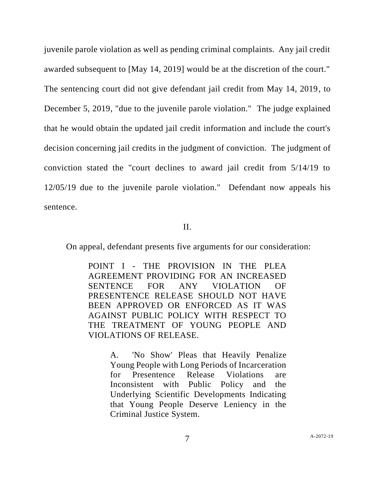juvenile parole violation as well as pending criminal complaints. Any jail credit awarded subsequent to [May 14, 2019] would be at the discretion of the court." The sentencing court did not give defendant jail credit from May 14, 2019, to December 5, 2019, "due to the juvenile parole violation." The judge explained that he would obtain the updated jail credit information and include the court's decision concerning jail credits in the judgment of conviction. The judgment of conviction stated the "court declines to award jail credit from 5/14/19 to 12/05/19 due to the juvenile parole violation." Defendant now appeals his sentence.

II.

On appeal, defendant presents five arguments for our consideration:

POINT I - THE PROVISION IN THE PLEA AGREEMENT PROVIDING FOR AN INCREASED SENTENCE FOR ANY VIOLATION OF PRESENTENCE RELEASE SHOULD NOT HAVE BEEN APPROVED OR ENFORCED AS IT WAS AGAINST PUBLIC POLICY WITH RESPECT TO THE TREATMENT OF YOUNG PEOPLE AND VIOLATIONS OF RELEASE.

> A. 'No Show' Pleas that Heavily Penalize Young People with Long Periods of Incarceration for Presentence Release Violations are Inconsistent with Public Policy and the Underlying Scientific Developments Indicating that Young People Deserve Leniency in the Criminal Justice System.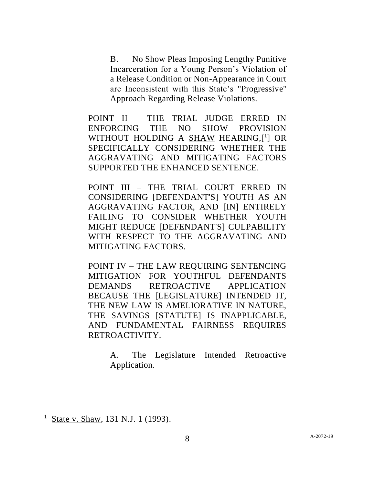B. No Show Pleas Imposing Lengthy Punitive Incarceration for a Young Person's Violation of a Release Condition or Non-Appearance in Court are Inconsistent with this State's ''Progressive'' Approach Regarding Release Violations.

POINT II – THE TRIAL JUDGE ERRED IN ENFORCING THE NO SHOW PROVISION WITHOUT HOLDING A **SHAW HEARING,[1]** OR SPECIFICALLY CONSIDERING WHETHER THE AGGRAVATING AND MITIGATING FACTORS SUPPORTED THE ENHANCED SENTENCE.

POINT III – THE TRIAL COURT ERRED IN CONSIDERING [DEFENDANT'S] YOUTH AS AN AGGRAVATING FACTOR, AND [IN] ENTIRELY FAILING TO CONSIDER WHETHER YOUTH MIGHT REDUCE [DEFENDANT'S] CULPABILITY WITH RESPECT TO THE AGGRAVATING AND MITIGATING FACTORS.

POINT IV – THE LAW REQUIRING SENTENCING MITIGATION FOR YOUTHFUL DEFENDANTS DEMANDS RETROACTIVE APPLICATION BECAUSE THE [LEGISLATURE] INTENDED IT, THE NEW LAW IS AMELIORATIVE IN NATURE, THE SAVINGS [STATUTE] IS INAPPLICABLE, AND FUNDAMENTAL FAIRNESS REQUIRES RETROACTIVITY.

> A. The Legislature Intended Retroactive Application.

<sup>1</sup> State v. Shaw, 131 N.J. 1 (1993).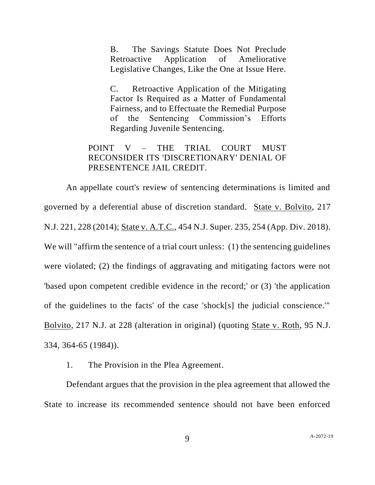B. The Savings Statute Does Not Preclude Retroactive Application of Ameliorative Legislative Changes, Like the One at Issue Here.

C. Retroactive Application of the Mitigating Factor Is Required as a Matter of Fundamental Fairness, and to Effectuate the Remedial Purpose of the Sentencing Commission's Efforts Regarding Juvenile Sentencing.

# POINT V – THE TRIAL COURT MUST RECONSIDER ITS 'DISCRETIONARY' DENIAL OF PRESENTENCE JAIL CREDIT.

An appellate court's review of sentencing determinations is limited and governed by a deferential abuse of discretion standard. State v. Bolvito, 217 N.J. 221, 228 (2014); State v. A.T.C., 454 N.J. Super. 235, 254 (App. Div. 2018). We will "affirm the sentence of a trial court unless: (1) the sentencing guidelines were violated; (2) the findings of aggravating and mitigating factors were not 'based upon competent credible evidence in the record;' or (3) 'the application of the guidelines to the facts' of the case 'shock[s] the judicial conscience.'" Bolvito, 217 N.J. at 228 (alteration in original) (quoting State v. Roth, 95 N.J. 334, 364-65 (1984)).

1. The Provision in the Plea Agreement.

Defendant argues that the provision in the plea agreement that allowed the State to increase its recommended sentence should not have been enforced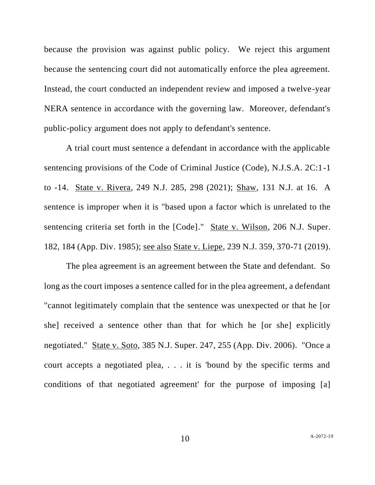because the provision was against public policy. We reject this argument because the sentencing court did not automatically enforce the plea agreement. Instead, the court conducted an independent review and imposed a twelve-year NERA sentence in accordance with the governing law. Moreover, defendant's public-policy argument does not apply to defendant's sentence.

A trial court must sentence a defendant in accordance with the applicable sentencing provisions of the Code of Criminal Justice (Code), N.J.S.A. 2C:1-1 to -14. State v. Rivera, 249 N.J. 285, 298 (2021); Shaw, 131 N.J. at 16. A sentence is improper when it is "based upon a factor which is unrelated to the sentencing criteria set forth in the [Code]." State v. Wilson, 206 N.J. Super. 182, 184 (App. Div. 1985); see also State v. Liepe, 239 N.J. 359, 370-71 (2019).

The plea agreement is an agreement between the State and defendant. So long as the court imposes a sentence called for in the plea agreement, a defendant "cannot legitimately complain that the sentence was unexpected or that he [or she] received a sentence other than that for which he [or she] explicitly negotiated." State v. Soto, 385 N.J. Super. 247, 255 (App. Div. 2006). "Once a court accepts a negotiated plea, . . . it is 'bound by the specific terms and conditions of that negotiated agreement' for the purpose of imposing [a]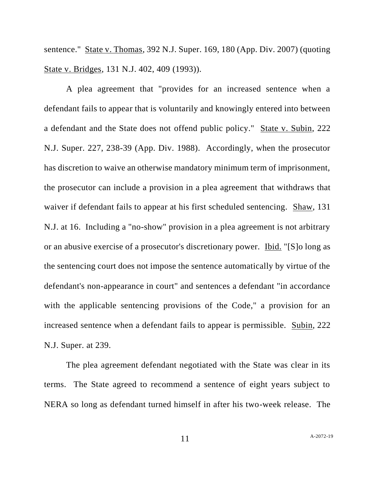sentence." State v. Thomas, 392 N.J. Super. 169, 180 (App. Div. 2007) (quoting State v. Bridges, 131 N.J. 402, 409 (1993)).

A plea agreement that "provides for an increased sentence when a defendant fails to appear that is voluntarily and knowingly entered into between a defendant and the State does not offend public policy." State v. Subin, 222 N.J. Super. 227, 238-39 (App. Div. 1988). Accordingly, when the prosecutor has discretion to waive an otherwise mandatory minimum term of imprisonment, the prosecutor can include a provision in a plea agreement that withdraws that waiver if defendant fails to appear at his first scheduled sentencing. Shaw, 131 N.J. at 16. Including a "no-show" provision in a plea agreement is not arbitrary or an abusive exercise of a prosecutor's discretionary power. Ibid. "[S]o long as the sentencing court does not impose the sentence automatically by virtue of the defendant's non-appearance in court" and sentences a defendant "in accordance with the applicable sentencing provisions of the Code," a provision for an increased sentence when a defendant fails to appear is permissible. Subin, 222 N.J. Super. at 239.

The plea agreement defendant negotiated with the State was clear in its terms. The State agreed to recommend a sentence of eight years subject to NERA so long as defendant turned himself in after his two-week release. The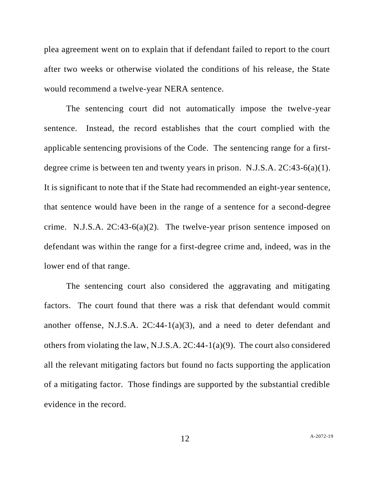plea agreement went on to explain that if defendant failed to report to the court after two weeks or otherwise violated the conditions of his release, the State would recommend a twelve-year NERA sentence.

The sentencing court did not automatically impose the twelve-year sentence. Instead, the record establishes that the court complied with the applicable sentencing provisions of the Code. The sentencing range for a firstdegree crime is between ten and twenty years in prison. N.J.S.A. 2C:43-6(a)(1). It is significant to note that if the State had recommended an eight-year sentence, that sentence would have been in the range of a sentence for a second-degree crime. N.J.S.A. 2C:43-6(a)(2). The twelve-year prison sentence imposed on defendant was within the range for a first-degree crime and, indeed, was in the lower end of that range.

The sentencing court also considered the aggravating and mitigating factors. The court found that there was a risk that defendant would commit another offense, N.J.S.A. 2C:44-1(a)(3), and a need to deter defendant and others from violating the law, N.J.S.A. 2C:44-1(a)(9). The court also considered all the relevant mitigating factors but found no facts supporting the application of a mitigating factor. Those findings are supported by the substantial credible evidence in the record.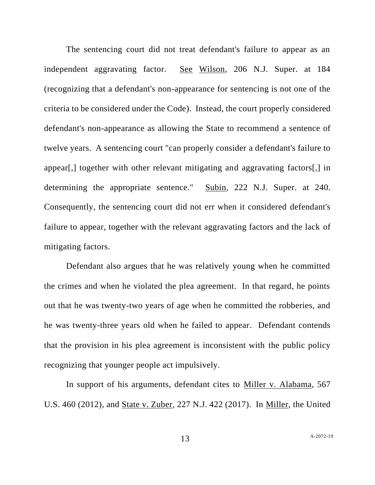The sentencing court did not treat defendant's failure to appear as an independent aggravating factor. See Wilson, 206 N.J. Super. at 184 (recognizing that a defendant's non-appearance for sentencing is not one of the criteria to be considered under the Code). Instead, the court properly considered defendant's non-appearance as allowing the State to recommend a sentence of twelve years. A sentencing court "can properly consider a defendant's failure to appear[,] together with other relevant mitigating and aggravating factors[,] in determining the appropriate sentence." Subin, 222 N.J. Super. at 240. Consequently, the sentencing court did not err when it considered defendant's failure to appear, together with the relevant aggravating factors and the lack of mitigating factors.

Defendant also argues that he was relatively young when he committed the crimes and when he violated the plea agreement. In that regard, he points out that he was twenty-two years of age when he committed the robberies, and he was twenty-three years old when he failed to appear. Defendant contends that the provision in his plea agreement is inconsistent with the public policy recognizing that younger people act impulsively.

In support of his arguments, defendant cites to Miller v. Alabama, 567 U.S. 460 (2012), and State v. Zuber, 227 N.J. 422 (2017). In Miller, the United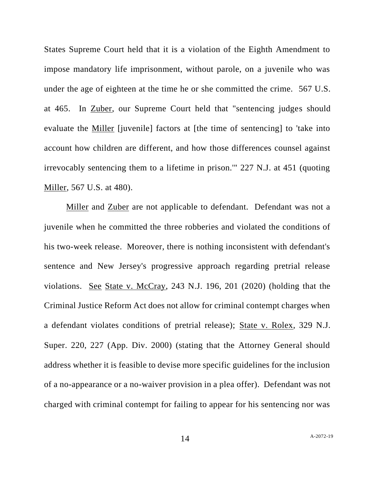States Supreme Court held that it is a violation of the Eighth Amendment to impose mandatory life imprisonment, without parole, on a juvenile who was under the age of eighteen at the time he or she committed the crime. 567 U.S. at 465. In Zuber, our Supreme Court held that "sentencing judges should evaluate the Miller [juvenile] factors at [the time of sentencing] to 'take into account how children are different, and how those differences counsel against irrevocably sentencing them to a lifetime in prison.'" 227 N.J. at 451 (quoting Miller, 567 U.S. at 480).

Miller and Zuber are not applicable to defendant. Defendant was not a juvenile when he committed the three robberies and violated the conditions of his two-week release. Moreover, there is nothing inconsistent with defendant's sentence and New Jersey's progressive approach regarding pretrial release violations. See State v. McCray, 243 N.J. 196, 201 (2020) (holding that the Criminal Justice Reform Act does not allow for criminal contempt charges when a defendant violates conditions of pretrial release); State v. Rolex, 329 N.J. Super. 220, 227 (App. Div. 2000) (stating that the Attorney General should address whether it is feasible to devise more specific guidelines for the inclusion of a no-appearance or a no-waiver provision in a plea offer). Defendant was not charged with criminal contempt for failing to appear for his sentencing nor was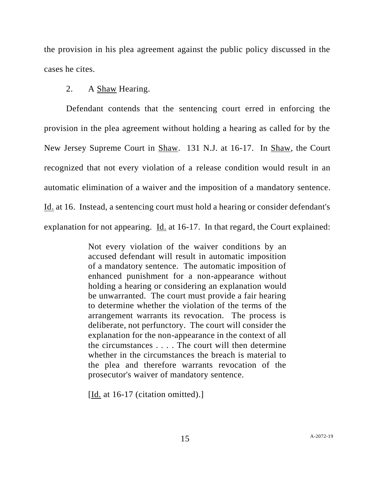the provision in his plea agreement against the public policy discussed in the cases he cites.

## 2. A Shaw Hearing.

Defendant contends that the sentencing court erred in enforcing the provision in the plea agreement without holding a hearing as called for by the New Jersey Supreme Court in Shaw. 131 N.J. at 16-17. In Shaw, the Court recognized that not every violation of a release condition would result in an automatic elimination of a waiver and the imposition of a mandatory sentence. Id. at 16. Instead, a sentencing court must hold a hearing or consider defendant's explanation for not appearing. Id. at 16-17. In that regard, the Court explained:

> Not every violation of the waiver conditions by an accused defendant will result in automatic imposition of a mandatory sentence. The automatic imposition of enhanced punishment for a non-appearance without holding a hearing or considering an explanation would be unwarranted. The court must provide a fair hearing to determine whether the violation of the terms of the arrangement warrants its revocation. The process is deliberate, not perfunctory. The court will consider the explanation for the non-appearance in the context of all the circumstances . . . . The court will then determine whether in the circumstances the breach is material to the plea and therefore warrants revocation of the prosecutor's waiver of mandatory sentence.

[Id. at 16-17 (citation omitted).]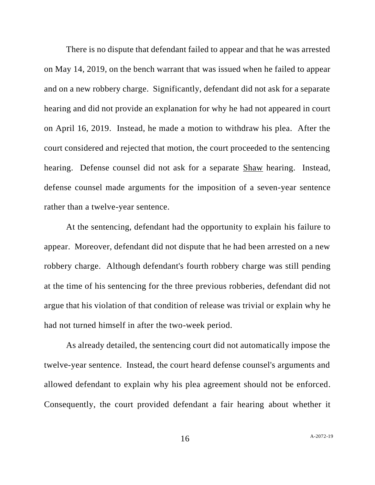There is no dispute that defendant failed to appear and that he was arrested on May 14, 2019, on the bench warrant that was issued when he failed to appear and on a new robbery charge. Significantly, defendant did not ask for a separate hearing and did not provide an explanation for why he had not appeared in court on April 16, 2019. Instead, he made a motion to withdraw his plea. After the court considered and rejected that motion, the court proceeded to the sentencing hearing. Defense counsel did not ask for a separate Shaw hearing. Instead, defense counsel made arguments for the imposition of a seven-year sentence rather than a twelve-year sentence.

At the sentencing, defendant had the opportunity to explain his failure to appear. Moreover, defendant did not dispute that he had been arrested on a new robbery charge. Although defendant's fourth robbery charge was still pending at the time of his sentencing for the three previous robberies, defendant did not argue that his violation of that condition of release was trivial or explain why he had not turned himself in after the two-week period.

As already detailed, the sentencing court did not automatically impose the twelve-year sentence. Instead, the court heard defense counsel's arguments and allowed defendant to explain why his plea agreement should not be enforced. Consequently, the court provided defendant a fair hearing about whether it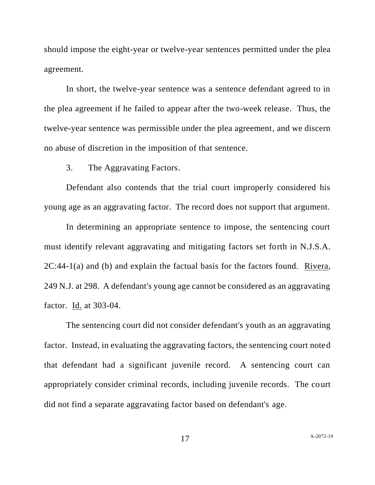should impose the eight-year or twelve-year sentences permitted under the plea agreement.

In short, the twelve-year sentence was a sentence defendant agreed to in the plea agreement if he failed to appear after the two-week release. Thus, the twelve-year sentence was permissible under the plea agreement, and we discern no abuse of discretion in the imposition of that sentence.

3. The Aggravating Factors.

Defendant also contends that the trial court improperly considered his young age as an aggravating factor. The record does not support that argument.

In determining an appropriate sentence to impose, the sentencing court must identify relevant aggravating and mitigating factors set forth in N.J.S.A.  $2C:44-1(a)$  and (b) and explain the factual basis for the factors found. Rivera, 249 N.J. at 298. A defendant's young age cannot be considered as an aggravating factor. **Id.** at 303-04.

The sentencing court did not consider defendant's youth as an aggravating factor. Instead, in evaluating the aggravating factors, the sentencing court noted that defendant had a significant juvenile record. A sentencing court can appropriately consider criminal records, including juvenile records. The court did not find a separate aggravating factor based on defendant's age.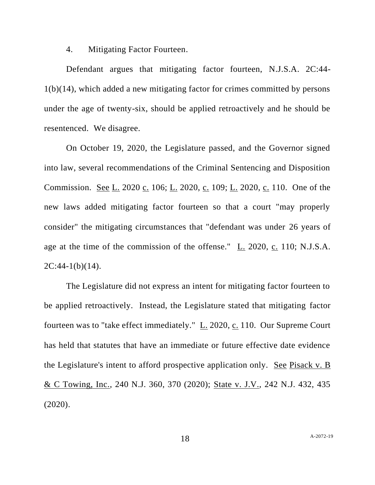4. Mitigating Factor Fourteen.

Defendant argues that mitigating factor fourteen, N.J.S.A. 2C:44- 1(b)(14), which added a new mitigating factor for crimes committed by persons under the age of twenty-six, should be applied retroactively and he should be resentenced. We disagree.

On October 19, 2020, the Legislature passed, and the Governor signed into law, several recommendations of the Criminal Sentencing and Disposition Commission. See L. 2020 c. 106; L. 2020, c. 109; L. 2020, c. 110. One of the new laws added mitigating factor fourteen so that a court "may properly consider" the mitigating circumstances that "defendant was under 26 years of age at the time of the commission of the offense." L. 2020, c. 110; N.J.S.A.  $2C:44-1(b)(14)$ .

The Legislature did not express an intent for mitigating factor fourteen to be applied retroactively. Instead, the Legislature stated that mitigating factor fourteen was to "take effect immediately."  $L_2$  2020,  $c_1$  110. Our Supreme Court has held that statutes that have an immediate or future effective date evidence the Legislature's intent to afford prospective application only. See Pisack v. B & C Towing, Inc., 240 N.J. 360, 370 (2020); State v. J.V., 242 N.J. 432, 435 (2020).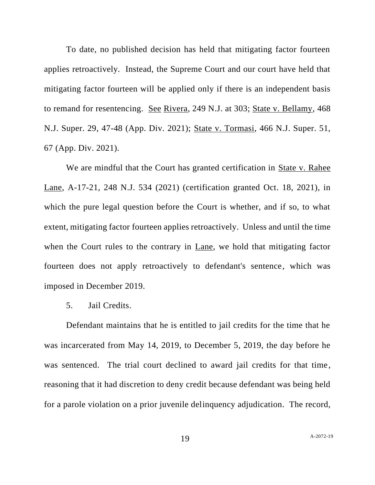To date, no published decision has held that mitigating factor fourteen applies retroactively. Instead, the Supreme Court and our court have held that mitigating factor fourteen will be applied only if there is an independent basis to remand for resentencing. See Rivera, 249 N.J. at 303; State v. Bellamy, 468 N.J. Super. 29, 47-48 (App. Div. 2021); State v. Tormasi, 466 N.J. Super. 51, 67 (App. Div. 2021).

We are mindful that the Court has granted certification in State v. Rahee Lane, A-17-21, 248 N.J. 534 (2021) (certification granted Oct. 18, 2021), in which the pure legal question before the Court is whether, and if so, to what extent, mitigating factor fourteen applies retroactively. Unless and until the time when the Court rules to the contrary in Lane, we hold that mitigating factor fourteen does not apply retroactively to defendant's sentence, which was imposed in December 2019.

5. Jail Credits.

Defendant maintains that he is entitled to jail credits for the time that he was incarcerated from May 14, 2019, to December 5, 2019, the day before he was sentenced. The trial court declined to award jail credits for that time, reasoning that it had discretion to deny credit because defendant was being held for a parole violation on a prior juvenile delinquency adjudication. The record,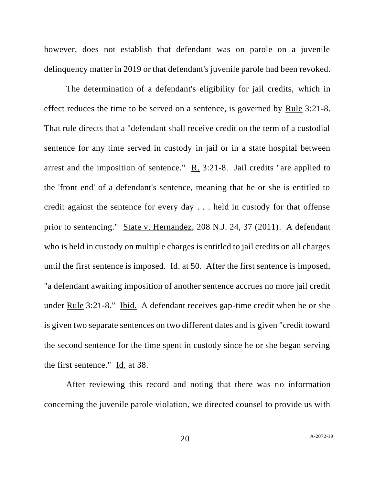however, does not establish that defendant was on parole on a juvenile delinquency matter in 2019 or that defendant's juvenile parole had been revoked.

The determination of a defendant's eligibility for jail credits, which in effect reduces the time to be served on a sentence, is governed by Rule 3:21-8. That rule directs that a "defendant shall receive credit on the term of a custodial sentence for any time served in custody in jail or in a state hospital between arrest and the imposition of sentence."  $\underline{R}$ . 3:21-8. Jail credits "are applied to the 'front end' of a defendant's sentence, meaning that he or she is entitled to credit against the sentence for every day . . . held in custody for that offense prior to sentencing." State v. Hernandez, 208 N.J. 24, 37 (2011). A defendant who is held in custody on multiple charges is entitled to jail credits on all charges until the first sentence is imposed. Id. at 50. After the first sentence is imposed, "a defendant awaiting imposition of another sentence accrues no more jail credit under Rule 3:21-8." Ibid. A defendant receives gap-time credit when he or she is given two separate sentences on two different dates and is given "credit toward the second sentence for the time spent in custody since he or she began serving the first sentence." Id. at 38.

After reviewing this record and noting that there was no information concerning the juvenile parole violation, we directed counsel to provide us with